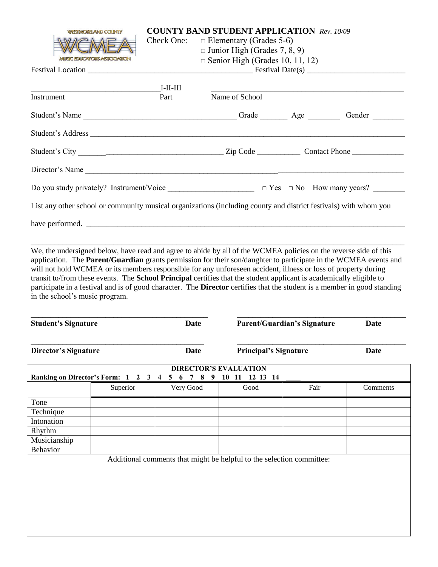| <b>WESTMORELAND COUNTY</b>                                                                                                                                                                                                           |            | <b>COUNTY BAND STUDENT APPLICATION Rev. 10/09</b> |  |  |  |  |  |
|--------------------------------------------------------------------------------------------------------------------------------------------------------------------------------------------------------------------------------------|------------|---------------------------------------------------|--|--|--|--|--|
|                                                                                                                                                                                                                                      | Check One: | $\Box$ Elementary (Grades 5-6)                    |  |  |  |  |  |
|                                                                                                                                                                                                                                      |            | $\Box$ Junior High (Grades 7, 8, 9)               |  |  |  |  |  |
| <b>MUSIC EDUCATORS ASSOCIATION</b>                                                                                                                                                                                                   |            | $\Box$ Senior High (Grades 10, 11, 12)            |  |  |  |  |  |
|                                                                                                                                                                                                                                      |            |                                                   |  |  |  |  |  |
|                                                                                                                                                                                                                                      |            |                                                   |  |  |  |  |  |
|                                                                                                                                                                                                                                      | $I-II-III$ |                                                   |  |  |  |  |  |
| Instrument                                                                                                                                                                                                                           | Part       | Name of School                                    |  |  |  |  |  |
| Student's Name ___________________________________Grade __________________Gender ___________________                                                                                                                                 |            |                                                   |  |  |  |  |  |
|                                                                                                                                                                                                                                      |            |                                                   |  |  |  |  |  |
| Student's Address                                                                                                                                                                                                                    |            |                                                   |  |  |  |  |  |
|                                                                                                                                                                                                                                      |            |                                                   |  |  |  |  |  |
|                                                                                                                                                                                                                                      |            |                                                   |  |  |  |  |  |
| Director's Name                                                                                                                                                                                                                      |            |                                                   |  |  |  |  |  |
|                                                                                                                                                                                                                                      |            |                                                   |  |  |  |  |  |
|                                                                                                                                                                                                                                      |            |                                                   |  |  |  |  |  |
| List any other school or community musical organizations (including county and district festivals) with whom you                                                                                                                     |            |                                                   |  |  |  |  |  |
|                                                                                                                                                                                                                                      |            |                                                   |  |  |  |  |  |
| have performed.                                                                                                                                                                                                                      |            |                                                   |  |  |  |  |  |
|                                                                                                                                                                                                                                      |            |                                                   |  |  |  |  |  |
|                                                                                                                                                                                                                                      |            |                                                   |  |  |  |  |  |
| We, the undersigned below, have read and agree to abide by all of the WCMEA policies on the reverse side of this<br>application. The Parent/Guardian grants permission for their son/daughter to participate in the WCMEA events and |            |                                                   |  |  |  |  |  |
| will not hold WCMEA or its members responsible for any unforeseen accident, illness or loss of property during                                                                                                                       |            |                                                   |  |  |  |  |  |
| transit to/from these events. The School Principal certifies that the student applicant is academically eligible to                                                                                                                  |            |                                                   |  |  |  |  |  |

participate in a festival and is of good character. The **Director** certifies that the student is a member in good standing in the school's music program.

**\_\_\_\_\_\_\_\_\_\_\_\_\_\_\_\_\_\_\_\_\_\_\_\_\_\_\_\_\_\_\_\_\_\_\_\_\_\_\_\_\_\_\_\_\_ \_\_\_\_\_\_\_\_\_\_\_\_\_\_\_\_\_\_\_\_\_\_\_\_\_\_\_\_\_\_\_\_\_\_\_\_\_\_\_\_\_\_\_ Student's Signature Date Parent/Guardian's Signature Date**

**Director's Signature Date Principal's Signature Date**

**\_\_\_\_\_\_\_\_\_\_\_\_\_\_\_\_\_\_\_\_\_\_\_\_\_\_\_\_\_\_\_\_\_\_\_\_\_\_\_\_\_\_\_\_ \_\_\_\_\_\_\_\_\_\_\_\_\_\_\_\_\_\_\_\_\_\_\_\_\_\_\_\_\_\_\_\_\_\_\_\_\_\_\_\_\_\_\_**

| <b>DIRECTOR'S EVALUATION</b>                                    |          |           |      |      |          |  |  |  |
|-----------------------------------------------------------------|----------|-----------|------|------|----------|--|--|--|
| 10 11 12 13 14<br>Ranking on Director's Form: 1 2 3 4 5 6 7 8 9 |          |           |      |      |          |  |  |  |
|                                                                 | Superior | Very Good | Good | Fair | Comments |  |  |  |
| Tone                                                            |          |           |      |      |          |  |  |  |
| Technique                                                       |          |           |      |      |          |  |  |  |
| Intonation                                                      |          |           |      |      |          |  |  |  |
| Rhythm                                                          |          |           |      |      |          |  |  |  |
| Musicianship                                                    |          |           |      |      |          |  |  |  |
| <b>Behavior</b>                                                 |          |           |      |      |          |  |  |  |

Additional comments that might be helpful to the selection committee: